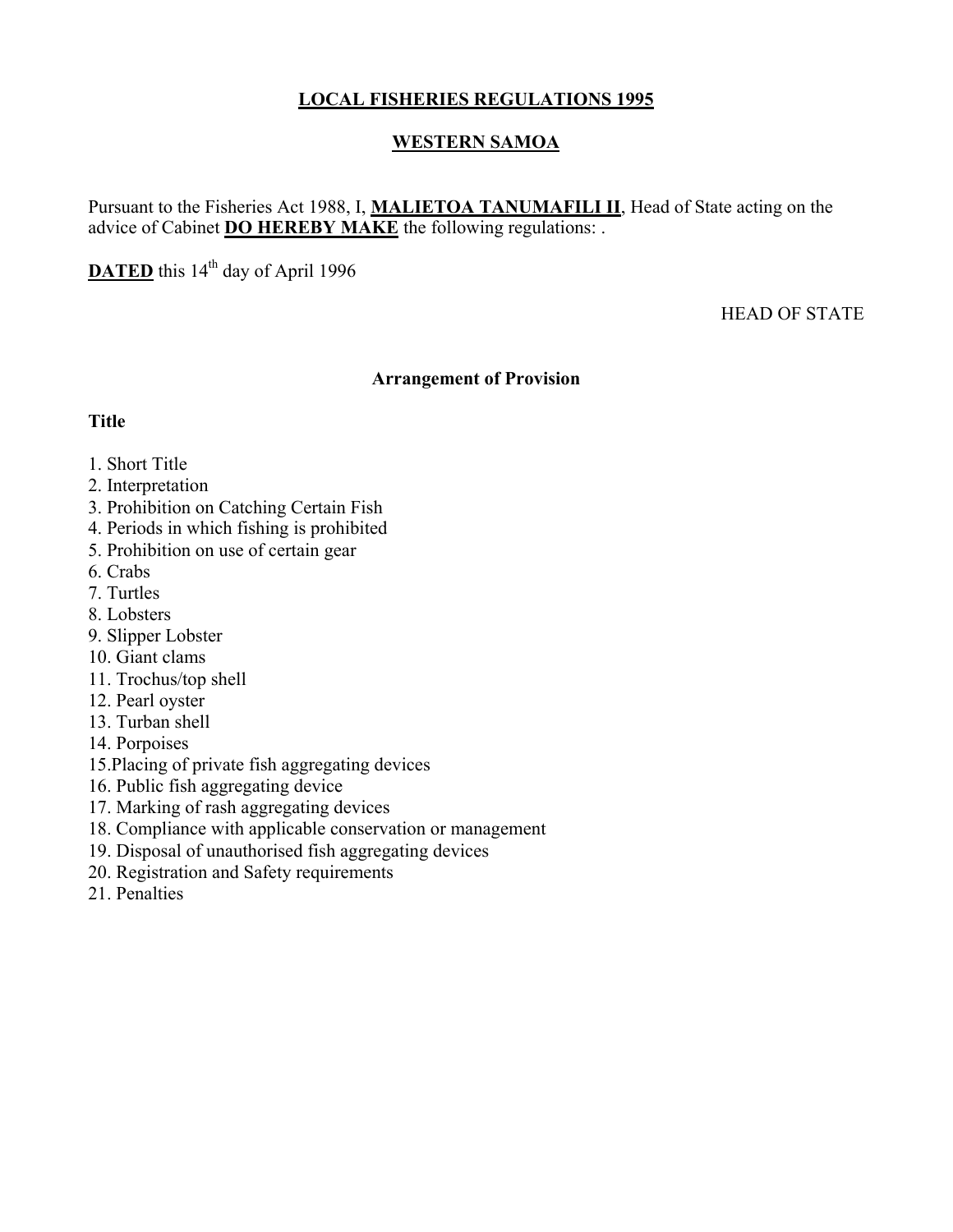## **LOCAL FISHERIES REGULATIONS 1995**

### **WESTERN SAMOA**

Pursuant to the Fisheries Act 1988, I, **MALIETOA TANUMAFILI II**, Head of State acting on the advice of Cabinet **DO HEREBY MAKE** the following regulations: .

**DATED** this 14<sup>th</sup> day of April 1996

HEAD OF STATE

#### **Arrangement of Provision**

#### **Title**

### 1. Short Title

- 2. Interpretation
- 3. Prohibition on Catching Certain Fish
- 4. Periods in which fishing is prohibited
- 5. Prohibition on use of certain gear
- 6. Crabs
- 7. Turtles
- 8. Lobsters
- 9. Slipper Lobster
- 10. Giant clams
- 11. Trochus/top shell
- 12. Pearl oyster
- 13. Turban shell
- 14. Porpoises
- 15.Placing of private fish aggregating devices
- 16. Public fish aggregating device
- 17. Marking of rash aggregating devices
- 18. Compliance with applicable conservation or management
- 19. Disposal of unauthorised fish aggregating devices
- 20. Registration and Safety requirements
- 21. Penalties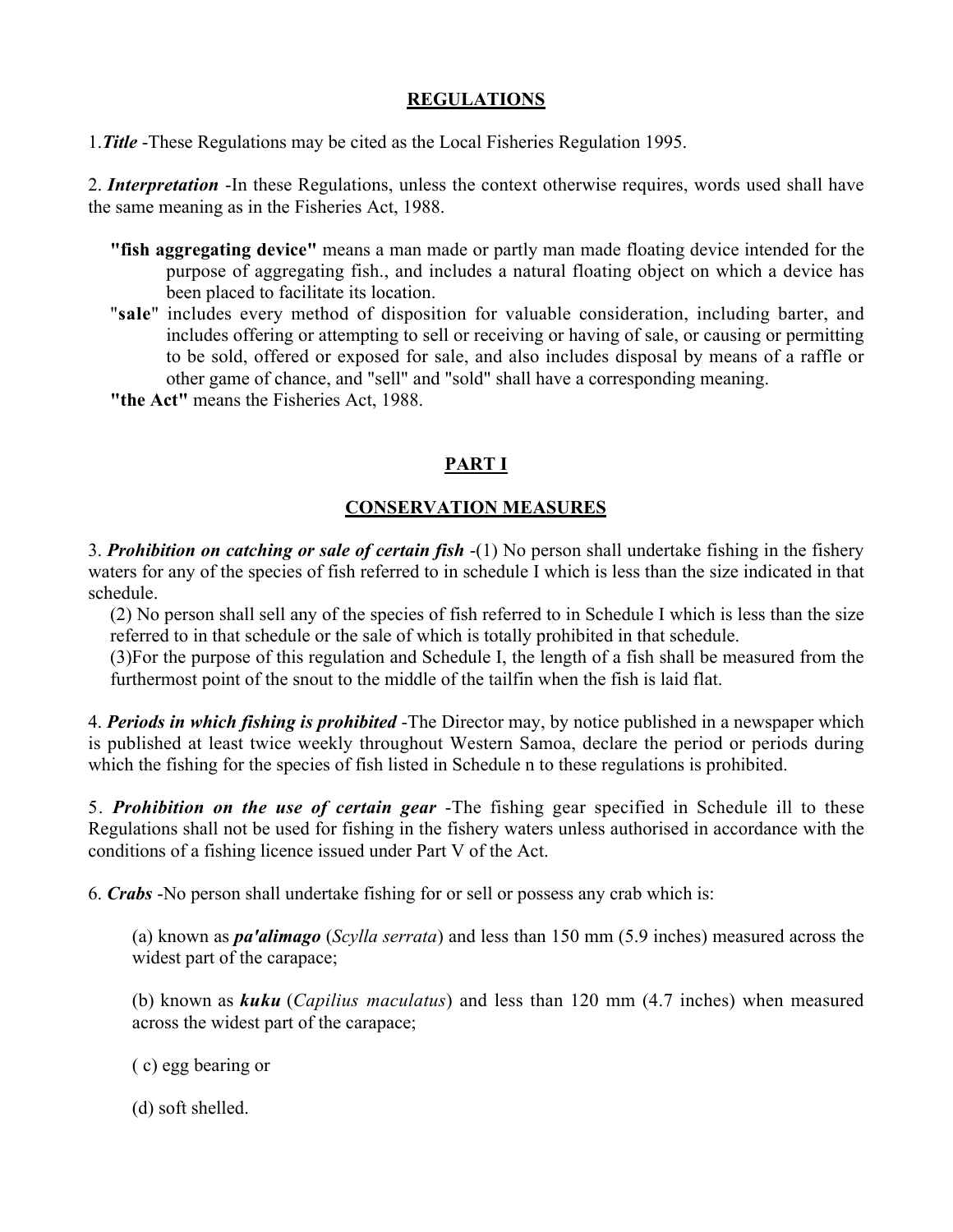#### **REGULATIONS**

1.*Title* -These Regulations may be cited as the Local Fisheries Regulation 1995.

2. *Interpretation* -In these Regulations, unless the context otherwise requires, words used shall have the same meaning as in the Fisheries Act, 1988.

- **"fish aggregating device"** means a man made or partly man made floating device intended for the purpose of aggregating fish., and includes a natural floating object on which a device has been placed to facilitate its location.
- "**sale**" includes every method of disposition for valuable consideration, including barter, and includes offering or attempting to sell or receiving or having of sale, or causing or permitting to be sold, offered or exposed for sale, and also includes disposal by means of a raffle or other game of chance, and "sell" and "sold" shall have a corresponding meaning.

**"the Act"** means the Fisheries Act, 1988.

# **PART I**

## **CONSERVATION MEASURES**

3. *Prohibition on catching or sale of certain fish* -(1) No person shall undertake fishing in the fishery waters for any of the species of fish referred to in schedule I which is less than the size indicated in that schedule.

(2) No person shall sell any of the species of fish referred to in Schedule I which is less than the size referred to in that schedule or the sale of which is totally prohibited in that schedule.

(3)For the purpose of this regulation and Schedule I, the length of a fish shall be measured from the furthermost point of the snout to the middle of the tailfin when the fish is laid flat.

4. *Periods in which fishing is prohibited* -The Director may, by notice published in a newspaper which is published at least twice weekly throughout Western Samoa, declare the period or periods during which the fishing for the species of fish listed in Schedule n to these regulations is prohibited.

5. *Prohibition on the use of certain gear* -The fishing gear specified in Schedule ill to these Regulations shall not be used for fishing in the fishery waters unless authorised in accordance with the conditions of a fishing licence issued under Part V of the Act.

6. *Crabs* -No person shall undertake fishing for or sell or possess any crab which is:

(a) known as *pa'alimago* (*Scylla serrata*) and less than 150 mm (5.9 inches) measured across the widest part of the carapace;

(b) known as *kuku* (*Capilius maculatus*) and less than 120 mm (4.7 inches) when measured across the widest part of the carapace;

( c) egg bearing or

(d) soft shelled.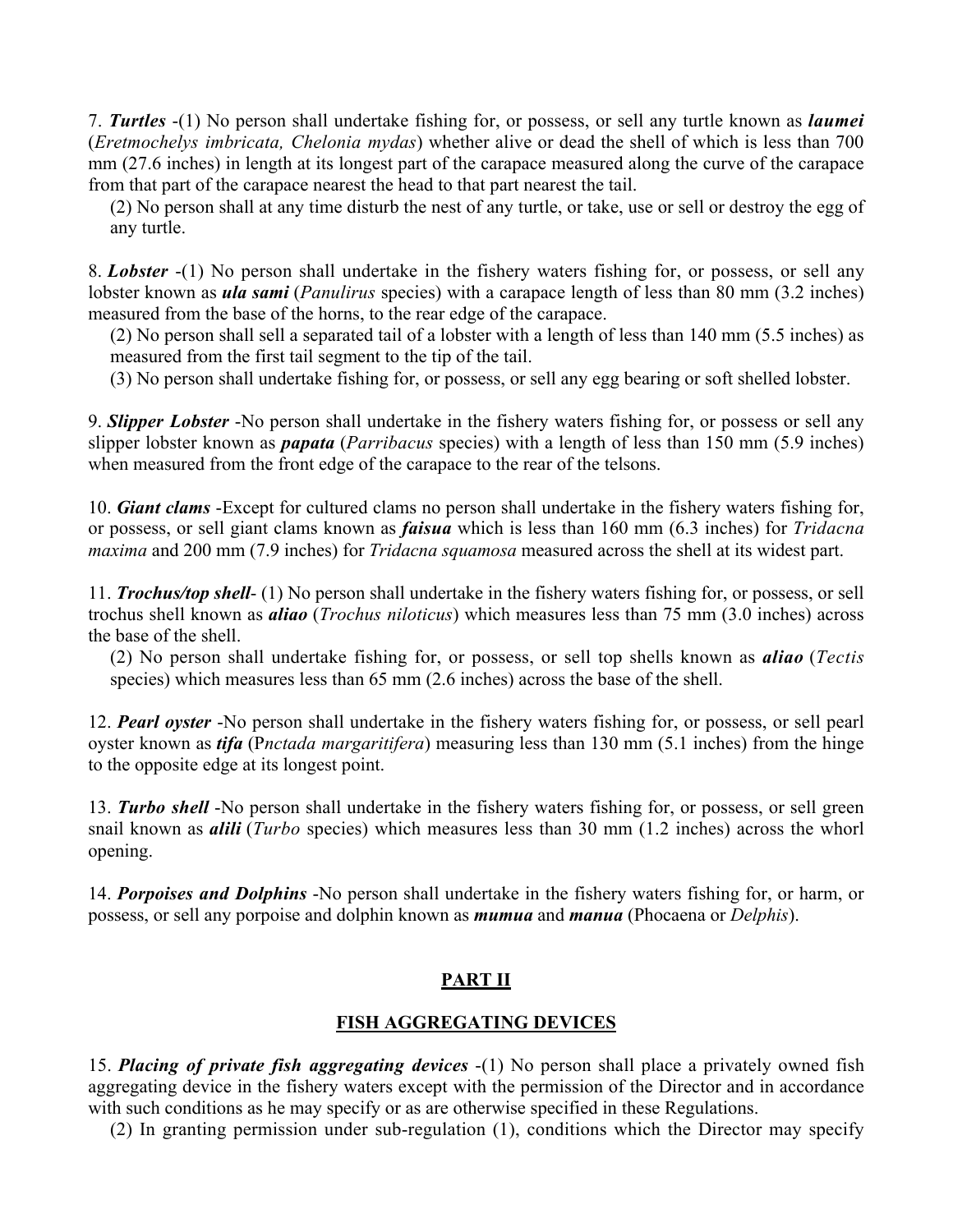7. *Turtles* -(1) No person shall undertake fishing for, or possess, or sell any turtle known as *laumei* (*Eretmochelys imbricata, Chelonia mydas*) whether alive or dead the shell of which is less than 700 mm (27.6 inches) in length at its longest part of the carapace measured along the curve of the carapace from that part of the carapace nearest the head to that part nearest the tail.

(2) No person shall at any time disturb the nest of any turtle, or take, use or sell or destroy the egg of any turtle.

8. *Lobster* -(1) No person shall undertake in the fishery waters fishing for, or possess, or sell any lobster known as *ula sami* (*Panulirus* species) with a carapace length of less than 80 mm (3.2 inches) measured from the base of the horns, to the rear edge of the carapace.

(2) No person shall sell a separated tail of a lobster with a length of less than 140 mm (5.5 inches) as measured from the first tail segment to the tip of the tail.

(3) No person shall undertake fishing for, or possess, or sell any egg bearing or soft shelled lobster.

9. *Slipper Lobster* -No person shall undertake in the fishery waters fishing for, or possess or sell any slipper lobster known as *papata* (*Parribacus* species) with a length of less than 150 mm (5.9 inches) when measured from the front edge of the carapace to the rear of the telsons.

10. *Giant clams* -Except for cultured clams no person shall undertake in the fishery waters fishing for, or possess, or sell giant clams known as *faisua* which is less than 160 mm (6.3 inches) for *Tridacna maxima* and 200 mm (7.9 inches) for *Tridacna squamosa* measured across the shell at its widest part.

11. *Trochus/top shell*- (1) No person shall undertake in the fishery waters fishing for, or possess, or sell trochus shell known as *aliao* (*Trochus niloticus*) which measures less than 75 mm (3.0 inches) across the base of the shell.

(2) No person shall undertake fishing for, or possess, or sell top shells known as *aliao* (*Tectis* species) which measures less than 65 mm (2.6 inches) across the base of the shell.

12. *Pearl oyster* -No person shall undertake in the fishery waters fishing for, or possess, or sell pearl oyster known as *tifa* (P*nctada margaritifera*) measuring less than 130 mm (5.1 inches) from the hinge to the opposite edge at its longest point.

13. *Turbo shell* -No person shall undertake in the fishery waters fishing for, or possess, or sell green snail known as *alili* (*Turbo* species) which measures less than 30 mm (1.2 inches) across the whorl opening.

14. *Porpoises and Dolphins* -No person shall undertake in the fishery waters fishing for, or harm, or possess, or sell any porpoise and dolphin known as *mumua* and *manua* (Phocaena or *Delphis*).

## **PART II**

### **FISH AGGREGATING DEVICES**

15. *Placing of private fish aggregating devices* -(1) No person shall place a privately owned fish aggregating device in the fishery waters except with the permission of the Director and in accordance with such conditions as he may specify or as are otherwise specified in these Regulations.

(2) In granting permission under sub-regulation (1), conditions which the Director may specify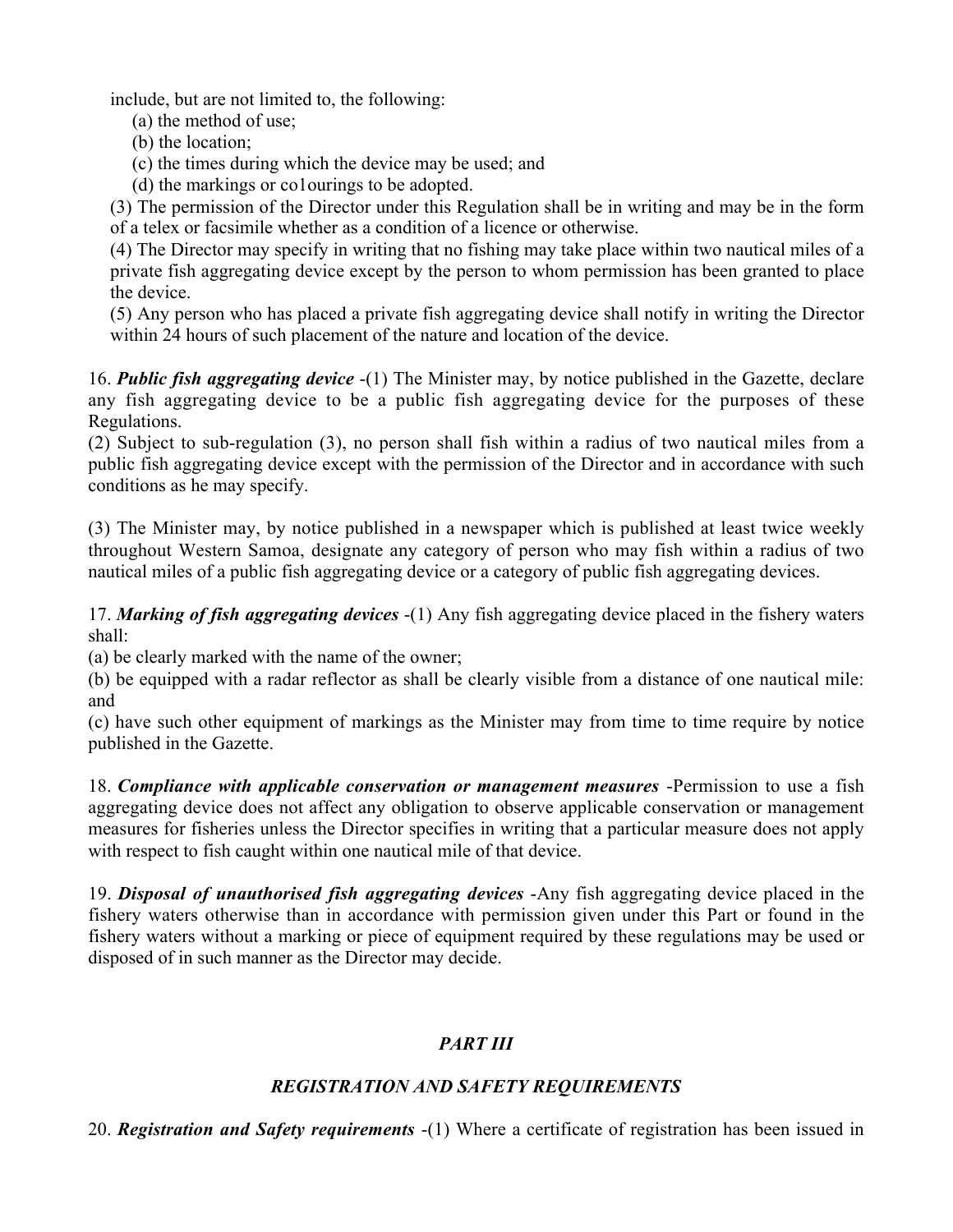include, but are not limited to, the following:

- (a) the method of use;
- (b) the location;
- (c) the times during which the device may be used; and
- (d) the markings or co1ourings to be adopted.

(3) The permission of the Director under this Regulation shall be in writing and may be in the form of a telex or facsimile whether as a condition of a licence or otherwise.

(4) The Director may specify in writing that no fishing may take place within two nautical miles of a private fish aggregating device except by the person to whom permission has been granted to place the device.

(5) Any person who has placed a private fish aggregating device shall notify in writing the Director within 24 hours of such placement of the nature and location of the device.

16. *Public fish aggregating device* -(1) The Minister may, by notice published in the Gazette, declare any fish aggregating device to be a public fish aggregating device for the purposes of these Regulations.

(2) Subject to sub-regulation (3), no person shall fish within a radius of two nautical miles from a public fish aggregating device except with the permission of the Director and in accordance with such conditions as he may specify.

(3) The Minister may, by notice published in a newspaper which is published at least twice weekly throughout Western Samoa, designate any category of person who may fish within a radius of two nautical miles of a public fish aggregating device or a category of public fish aggregating devices.

17. *Marking of fish aggregating devices* -(1) Any fish aggregating device placed in the fishery waters shall:

(a) be clearly marked with the name of the owner;

(b) be equipped with a radar reflector as shall be clearly visible from a distance of one nautical mile: and

(c) have such other equipment of markings as the Minister may from time to time require by notice published in the Gazette.

18. *Compliance with applicable conservation or management measures* -Permission to use a fish aggregating device does not affect any obligation to observe applicable conservation or management measures for fisheries unless the Director specifies in writing that a particular measure does not apply with respect to fish caught within one nautical mile of that device.

19. *Disposal of unauthorised fish aggregating devices* -Any fish aggregating device placed in the fishery waters otherwise than in accordance with permission given under this Part or found in the fishery waters without a marking or piece of equipment required by these regulations may be used or disposed of in such manner as the Director may decide.

# *PART III*

## *REGISTRATION AND SAFETY REQUIREMENTS*

20. *Registration and Safety requirements* -(1) Where a certificate of registration has been issued in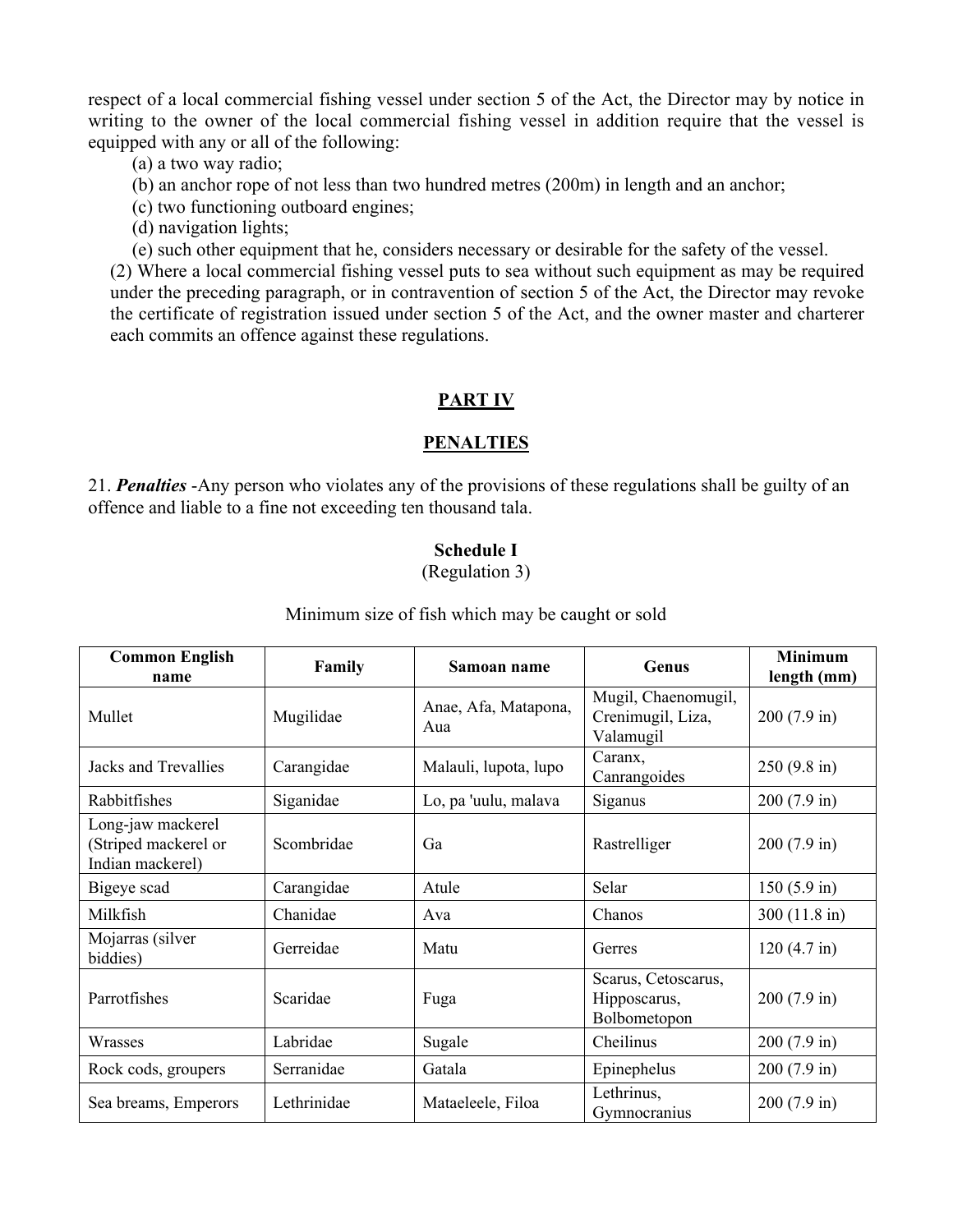respect of a local commercial fishing vessel under section 5 of the Act, the Director may by notice in writing to the owner of the local commercial fishing vessel in addition require that the vessel is equipped with any or all of the following:

(a) a two way radio;

(b) an anchor rope of not less than two hundred metres (200m) in length and an anchor;

(c) two functioning outboard engines;

(d) navigation lights;

(e) such other equipment that he, considers necessary or desirable for the safety of the vessel.

(2) Where a local commercial fishing vessel puts to sea without such equipment as may be required under the preceding paragraph, or in contravention of section 5 of the Act, the Director may revoke the certificate of registration issued under section 5 of the Act, and the owner master and charterer each commits an offence against these regulations.

## **PART IV**

## **PENALTIES**

21. *Penalties* -Any person who violates any of the provisions of these regulations shall be guilty of an offence and liable to a fine not exceeding ten thousand tala.

#### **Schedule I**

(Regulation 3)

| <b>Common English</b><br>name                                 | Family      | Samoan name                 | Genus                                                 | <b>Minimum</b><br>length (mm) |
|---------------------------------------------------------------|-------------|-----------------------------|-------------------------------------------------------|-------------------------------|
| Mullet                                                        | Mugilidae   | Anae, Afa, Matapona,<br>Aua | Mugil, Chaenomugil,<br>Crenimugil, Liza,<br>Valamugil | $200(7.9 \text{ in})$         |
| Jacks and Trevallies                                          | Carangidae  | Malauli, lupota, lupo       | Caranx,<br>Canrangoides                               | $250(9.8 \text{ in})$         |
| Rabbitfishes                                                  | Siganidae   | Lo, pa 'uulu, malava        | Siganus                                               | $200(7.9 \text{ in})$         |
| Long-jaw mackerel<br>(Striped mackerel or<br>Indian mackerel) | Scombridae  | Ga                          | Rastrelliger                                          | $200(7.9 \text{ in})$         |
| Bigeye scad                                                   | Carangidae  | Atule                       | Selar                                                 | $150(5.9 \text{ in})$         |
| Milkfish                                                      | Chanidae    | Ava                         | Chanos                                                | $300(11.8 \text{ in})$        |
| Mojarras (silver<br>biddies)                                  | Gerreidae   | Matu                        | Gerres                                                | $120(4.7 \text{ in})$         |
| Parrotfishes                                                  | Scaridae    | Fuga                        | Scarus, Cetoscarus,<br>Hipposcarus,<br>Bolbometopon   | $200(7.9 \text{ in})$         |
| Wrasses                                                       | Labridae    | Sugale                      | Cheilinus                                             | $200(7.9 \text{ in})$         |
| Rock cods, groupers                                           | Serranidae  | Gatala                      | Epinephelus                                           | $200(7.9 \text{ in})$         |
| Sea breams, Emperors                                          | Lethrinidae | Mataeleele, Filoa           | Lethrinus,<br>Gymnocranius                            | $200(7.9 \text{ in})$         |

Minimum size of fish which may be caught or sold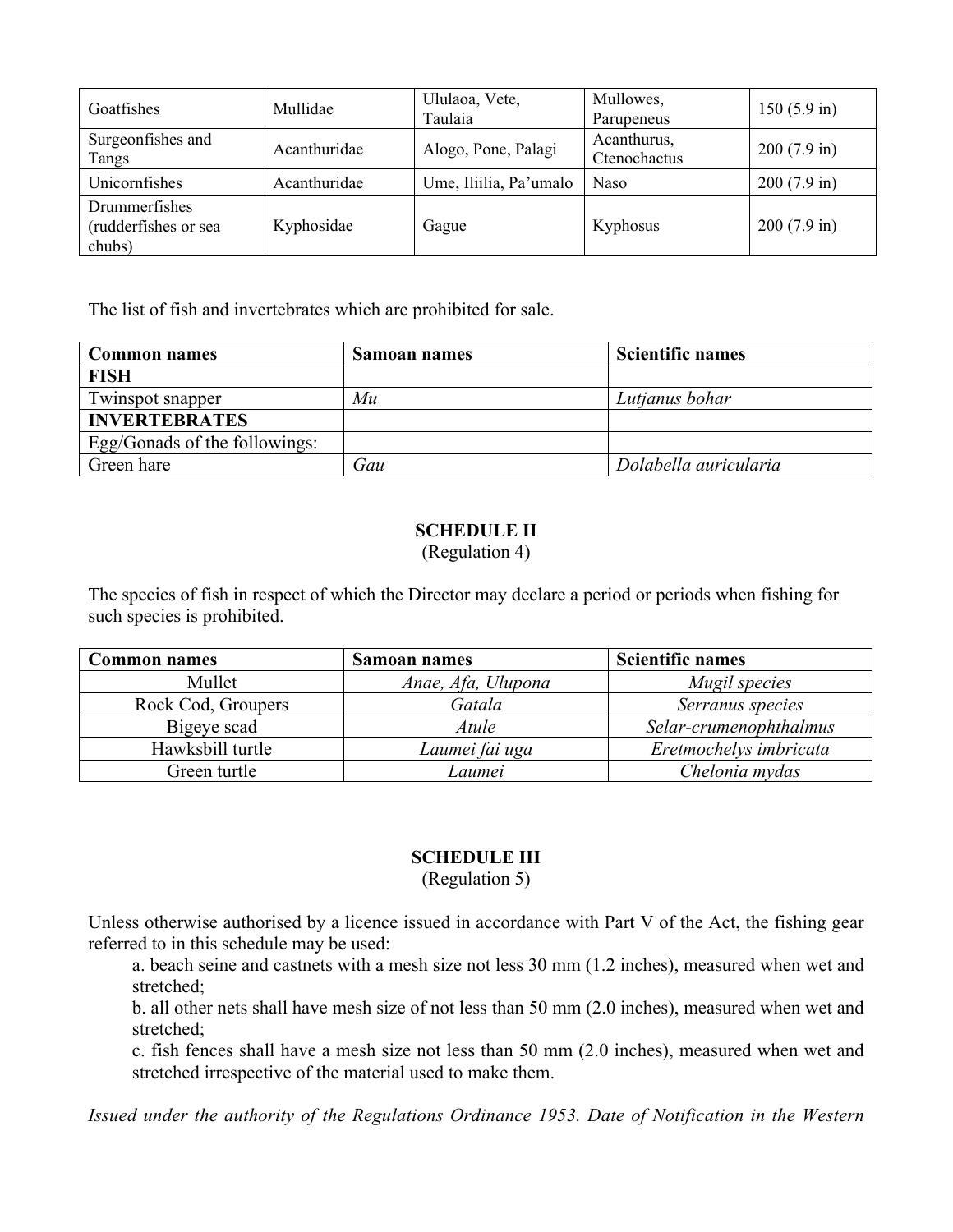| Goatfishes                                      | Mullidae     | Ululaoa, Vete,<br>Taulaia | Mullowes,<br>Parupeneus     | $150(5.9 \text{ in})$ |
|-------------------------------------------------|--------------|---------------------------|-----------------------------|-----------------------|
| Surgeonfishes and<br>Tangs                      | Acanthuridae | Alogo, Pone, Palagi       | Acanthurus,<br>Ctenochactus | $200(7.9 \text{ in})$ |
| Unicornfishes                                   | Acanthuridae | Ume, Iliilia, Pa'umalo    | Naso                        | $200(7.9 \text{ in})$ |
| Drummerfishes<br>(rudderfishes or sea<br>chubs) | Kyphosidae   | Gague                     | Kyphosus                    | $200(7.9 \text{ in})$ |

The list of fish and invertebrates which are prohibited for sale.

| <b>Common names</b>           | Samoan names | <b>Scientific names</b> |
|-------------------------------|--------------|-------------------------|
| <b>FISH</b>                   |              |                         |
| Twinspot snapper              | Mu           | Lutjanus bohar          |
| <b>INVERTEBRATES</b>          |              |                         |
| Egg/Gonads of the followings: |              |                         |
| Green hare                    | Gau          | Dolabella auricularia   |

## **SCHEDULE II**

(Regulation 4)

The species of fish in respect of which the Director may declare a period or periods when fishing for such species is prohibited.

| <b>Common names</b> | Samoan names       | <b>Scientific names</b> |
|---------------------|--------------------|-------------------------|
| Mullet              | Anae, Afa, Ulupona | Mugil species           |
| Rock Cod, Groupers  | Gatala             | Serranus species        |
| Bigeye scad         | <i>Atule</i>       | Selar-crumenophthalmus  |
| Hawksbill turtle    | Laumei fai uga     | Eretmochelys imbricata  |
| Green turtle        | Laumei             | Chelonia mydas          |

## **SCHEDULE III**

(Regulation 5)

Unless otherwise authorised by a licence issued in accordance with Part V of the Act, the fishing gear referred to in this schedule may be used:

a. beach seine and castnets with a mesh size not less 30 mm (1.2 inches), measured when wet and stretched;

b. all other nets shall have mesh size of not less than 50 mm (2.0 inches), measured when wet and stretched;

c. fish fences shall have a mesh size not less than 50 mm (2.0 inches), measured when wet and stretched irrespective of the material used to make them.

*Issued under the authority of the Regulations Ordinance 1953. Date of Notification in the Western*